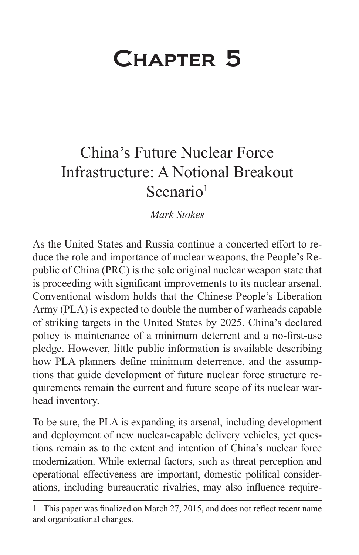# Chapter 5

# China's Future Nuclear Force Infrastructure: A Notional Breakout Scenario<sup>1</sup>

*Mark Stokes*

As the United States and Russia continue a concerted effort to reduce the role and importance of nuclear weapons, the People's Republic of China (PRC) is the sole original nuclear weapon state that is proceeding with significant improvements to its nuclear arsenal. Conventional wisdom holds that the Chinese People's Liberation Army (PLA) is expected to double the number of warheads capable of striking targets in the United States by 2025. China's declared policy is maintenance of a minimum deterrent and a no-first-use pledge. However, little public information is available describing how PLA planners define minimum deterrence, and the assumptions that guide development of future nuclear force structure requirements remain the current and future scope of its nuclear warhead inventory.

To be sure, the PLA is expanding its arsenal, including development and deployment of new nuclear-capable delivery vehicles, yet questions remain as to the extent and intention of China's nuclear force modernization. While external factors, such as threat perception and operational effectiveness are important, domestic political considerations, including bureaucratic rivalries, may also influence require-

<sup>1.</sup> This paper was finalized on March 27, 2015, and does not reflect recent name and organizational changes.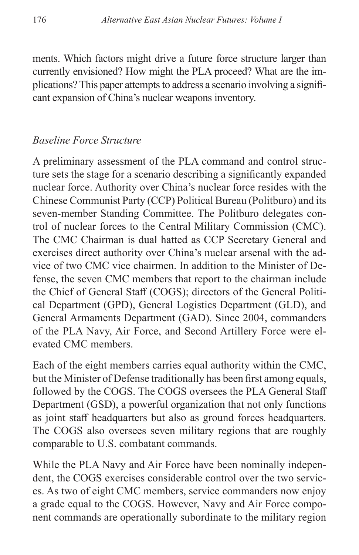ments. Which factors might drive a future force structure larger than currently envisioned? How might the PLA proceed? What are the implications? This paper attempts to address a scenario involving a significant expansion of China's nuclear weapons inventory.

#### *Baseline Force Structure*

A preliminary assessment of the PLA command and control structure sets the stage for a scenario describing a significantly expanded nuclear force. Authority over China's nuclear force resides with the Chinese Communist Party (CCP) Political Bureau (Politburo) and its seven-member Standing Committee. The Politburo delegates control of nuclear forces to the Central Military Commission (CMC). The CMC Chairman is dual hatted as CCP Secretary General and exercises direct authority over China's nuclear arsenal with the advice of two CMC vice chairmen. In addition to the Minister of Defense, the seven CMC members that report to the chairman include the Chief of General Staff (COGS); directors of the General Political Department (GPD), General Logistics Department (GLD), and General Armaments Department (GAD). Since 2004, commanders of the PLA Navy, Air Force, and Second Artillery Force were elevated CMC members.

Each of the eight members carries equal authority within the CMC, but the Minister of Defense traditionally has been first among equals, followed by the COGS. The COGS oversees the PLA General Staff Department (GSD), a powerful organization that not only functions as joint staff headquarters but also as ground forces headquarters. The COGS also oversees seven military regions that are roughly comparable to U.S. combatant commands.

While the PLA Navy and Air Force have been nominally independent, the COGS exercises considerable control over the two services. As two of eight CMC members, service commanders now enjoy a grade equal to the COGS. However, Navy and Air Force component commands are operationally subordinate to the military region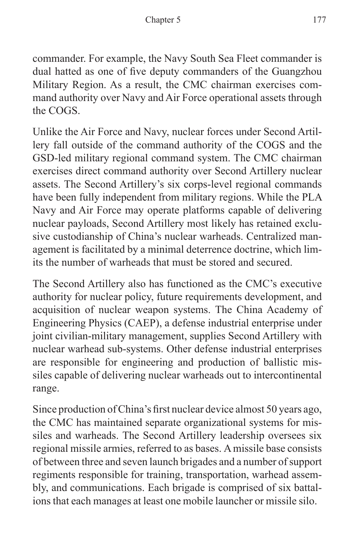commander. For example, the Navy South Sea Fleet commander is dual hatted as one of five deputy commanders of the Guangzhou Military Region. As a result, the CMC chairman exercises command authority over Navy and Air Force operational assets through the COGS.

Unlike the Air Force and Navy, nuclear forces under Second Artillery fall outside of the command authority of the COGS and the GSD-led military regional command system. The CMC chairman exercises direct command authority over Second Artillery nuclear assets. The Second Artillery's six corps-level regional commands have been fully independent from military regions. While the PLA Navy and Air Force may operate platforms capable of delivering nuclear payloads, Second Artillery most likely has retained exclusive custodianship of China's nuclear warheads. Centralized management is facilitated by a minimal deterrence doctrine, which limits the number of warheads that must be stored and secured.

The Second Artillery also has functioned as the CMC's executive authority for nuclear policy, future requirements development, and acquisition of nuclear weapon systems. The China Academy of Engineering Physics (CAEP), a defense industrial enterprise under joint civilian-military management, supplies Second Artillery with nuclear warhead sub-systems. Other defense industrial enterprises are responsible for engineering and production of ballistic missiles capable of delivering nuclear warheads out to intercontinental range.

Since production of China's first nuclear device almost 50 years ago, the CMC has maintained separate organizational systems for missiles and warheads. The Second Artillery leadership oversees six regional missile armies, referred to as bases. A missile base consists of between three and seven launch brigades and a number of support regiments responsible for training, transportation, warhead assembly, and communications. Each brigade is comprised of six battalions that each manages at least one mobile launcher or missile silo.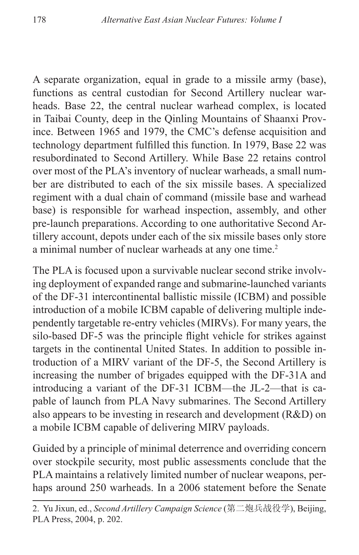A separate organization, equal in grade to a missile army (base), functions as central custodian for Second Artillery nuclear warheads. Base 22, the central nuclear warhead complex, is located in Taibai County, deep in the Qinling Mountains of Shaanxi Province. Between 1965 and 1979, the CMC's defense acquisition and technology department fulfilled this function. In 1979, Base 22 was resubordinated to Second Artillery. While Base 22 retains control over most of the PLA's inventory of nuclear warheads, a small number are distributed to each of the six missile bases. A specialized regiment with a dual chain of command (missile base and warhead base) is responsible for warhead inspection, assembly, and other pre-launch preparations. According to one authoritative Second Artillery account, depots under each of the six missile bases only store a minimal number of nuclear warheads at any one time.<sup>2</sup>

The PLA is focused upon a survivable nuclear second strike involving deployment of expanded range and submarine-launched variants of the DF-31 intercontinental ballistic missile (ICBM) and possible introduction of a mobile ICBM capable of delivering multiple independently targetable re-entry vehicles (MIRVs). For many years, the silo-based DF-5 was the principle flight vehicle for strikes against targets in the continental United States. In addition to possible introduction of a MIRV variant of the DF-5, the Second Artillery is increasing the number of brigades equipped with the DF-31A and introducing a variant of the DF-31 ICBM—the JL-2—that is capable of launch from PLA Navy submarines. The Second Artillery also appears to be investing in research and development (R&D) on a mobile ICBM capable of delivering MIRV payloads.

Guided by a principle of minimal deterrence and overriding concern over stockpile security, most public assessments conclude that the PLA maintains a relatively limited number of nuclear weapons, perhaps around 250 warheads. In a 2006 statement before the Senate

<sup>2.</sup> Yu Jixun, ed., *Second Artillery Campaign Science* (第二炮兵战役学), Beijing, PLA Press, 2004, p. 202.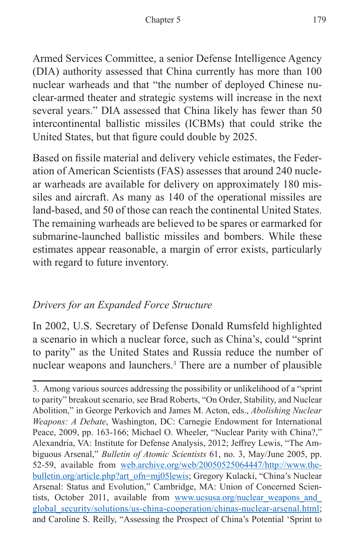Armed Services Committee, a senior Defense Intelligence Agency (DIA) authority assessed that China currently has more than 100 nuclear warheads and that "the number of deployed Chinese nuclear-armed theater and strategic systems will increase in the next several years." DIA assessed that China likely has fewer than 50 intercontinental ballistic missiles (ICBMs) that could strike the United States, but that figure could double by 2025.

Based on fissile material and delivery vehicle estimates, the Federation of American Scientists (FAS) assesses that around 240 nuclear warheads are available for delivery on approximately 180 missiles and aircraft. As many as 140 of the operational missiles are land-based, and 50 of those can reach the continental United States. The remaining warheads are believed to be spares or earmarked for submarine-launched ballistic missiles and bombers. While these estimates appear reasonable, a margin of error exists, particularly with regard to future inventory.

### *Drivers for an Expanded Force Structure*

In 2002, U.S. Secretary of Defense Donald Rumsfeld highlighted a scenario in which a nuclear force, such as China's, could "sprint to parity" as the United States and Russia reduce the number of nuclear weapons and launchers.<sup>3</sup> There are a number of plausible

<sup>3.</sup> Among various sources addressing the possibility or unlikelihood of a "sprint to parity" breakout scenario, see Brad Roberts, "On Order, Stability, and Nuclear Abolition," in George Perkovich and James M. Acton, eds., *Abolishing Nuclear Weapons: A Debate*, Washington, DC: Carnegie Endowment for International Peace, 2009, pp. 163-166; Michael O. Wheeler, "Nuclear Parity with China?," Alexandria, VA: Institute for Defense Analysis, 2012; Jeffrey Lewis, "The Ambiguous Arsenal," *Bulletin of Atomic Scientists* 61, no. 3, May/June 2005, pp. 52-59, available from [web.archive.org/web/20050525064447/http://www.the](web.archive.org/web/20050525064447/http://www.thebulletin.org/article.php?art_ofn=mj05lewis)[bulletin.org/article.php?art\\_ofn=mj05lewis](web.archive.org/web/20050525064447/http://www.thebulletin.org/article.php?art_ofn=mj05lewis); Gregory Kulacki, "China's Nuclear Arsenal: Status and Evolution," Cambridge, MA: Union of Concerned Scientists, October 2011, available from www.ucsusa.org/nuclear weapons and [global\\_security/solutions/us-china-cooperation/chinas-nuclear-arsenal.html](www.ucsusa.org/nuclear_weapons_and_global_security/solutions/us-china-cooperation/chinas-nuclear-arsenal.html); and Caroline S. Reilly, "Assessing the Prospect of China's Potential 'Sprint to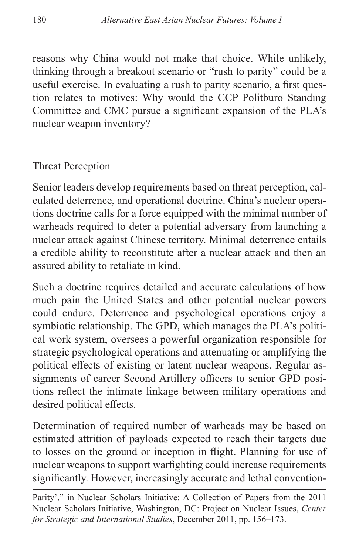reasons why China would not make that choice. While unlikely, thinking through a breakout scenario or "rush to parity" could be a useful exercise. In evaluating a rush to parity scenario, a first question relates to motives: Why would the CCP Politburo Standing Committee and CMC pursue a significant expansion of the PLA's nuclear weapon inventory?

#### Threat Perception

Senior leaders develop requirements based on threat perception, calculated deterrence, and operational doctrine. China's nuclear operations doctrine calls for a force equipped with the minimal number of warheads required to deter a potential adversary from launching a nuclear attack against Chinese territory. Minimal deterrence entails a credible ability to reconstitute after a nuclear attack and then an assured ability to retaliate in kind.

Such a doctrine requires detailed and accurate calculations of how much pain the United States and other potential nuclear powers could endure. Deterrence and psychological operations enjoy a symbiotic relationship. The GPD, which manages the PLA's political work system, oversees a powerful organization responsible for strategic psychological operations and attenuating or amplifying the political effects of existing or latent nuclear weapons. Regular assignments of career Second Artillery officers to senior GPD positions reflect the intimate linkage between military operations and desired political effects.

Determination of required number of warheads may be based on estimated attrition of payloads expected to reach their targets due to losses on the ground or inception in flight. Planning for use of nuclear weapons to support warfighting could increase requirements significantly. However, increasingly accurate and lethal convention-

Parity'," in Nuclear Scholars Initiative: A Collection of Papers from the 2011 Nuclear Scholars Initiative, Washington, DC: Project on Nuclear Issues, *Center for Strategic and International Studies*, December 2011, pp. 156–173.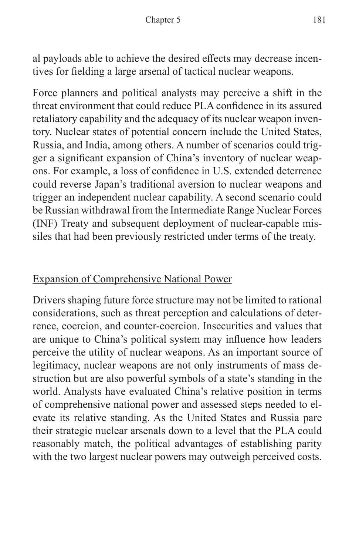al payloads able to achieve the desired effects may decrease incentives for fielding a large arsenal of tactical nuclear weapons.

Force planners and political analysts may perceive a shift in the threat environment that could reduce PLA confidence in its assured retaliatory capability and the adequacy of its nuclear weapon inventory. Nuclear states of potential concern include the United States, Russia, and India, among others. A number of scenarios could trigger a significant expansion of China's inventory of nuclear weapons. For example, a loss of confidence in U.S. extended deterrence could reverse Japan's traditional aversion to nuclear weapons and trigger an independent nuclear capability. A second scenario could be Russian withdrawal from the Intermediate Range Nuclear Forces (INF) Treaty and subsequent deployment of nuclear-capable missiles that had been previously restricted under terms of the treaty.

# Expansion of Comprehensive National Power

Drivers shaping future force structure may not be limited to rational considerations, such as threat perception and calculations of deterrence, coercion, and counter-coercion. Insecurities and values that are unique to China's political system may influence how leaders perceive the utility of nuclear weapons. As an important source of legitimacy, nuclear weapons are not only instruments of mass destruction but are also powerful symbols of a state's standing in the world. Analysts have evaluated China's relative position in terms of comprehensive national power and assessed steps needed to elevate its relative standing. As the United States and Russia pare their strategic nuclear arsenals down to a level that the PLA could reasonably match, the political advantages of establishing parity with the two largest nuclear powers may outweigh perceived costs.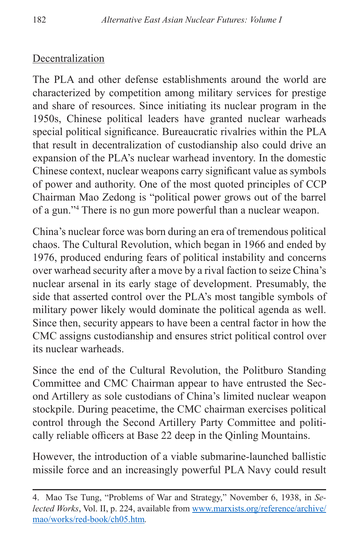# Decentralization

The PLA and other defense establishments around the world are characterized by competition among military services for prestige and share of resources. Since initiating its nuclear program in the 1950s, Chinese political leaders have granted nuclear warheads special political significance. Bureaucratic rivalries within the PLA that result in decentralization of custodianship also could drive an expansion of the PLA's nuclear warhead inventory. In the domestic Chinese context, nuclear weapons carry significant value as symbols of power and authority. One of the most quoted principles of CCP Chairman Mao Zedong is "political power grows out of the barrel of a gun."4 There is no gun more powerful than a nuclear weapon.

China's nuclear force was born during an era of tremendous political chaos. The Cultural Revolution, which began in 1966 and ended by 1976, produced enduring fears of political instability and concerns over warhead security after a move by a rival faction to seize China's nuclear arsenal in its early stage of development. Presumably, the side that asserted control over the PLA's most tangible symbols of military power likely would dominate the political agenda as well. Since then, security appears to have been a central factor in how the CMC assigns custodianship and ensures strict political control over its nuclear warheads.

Since the end of the Cultural Revolution, the Politburo Standing Committee and CMC Chairman appear to have entrusted the Second Artillery as sole custodians of China's limited nuclear weapon stockpile. During peacetime, the CMC chairman exercises political control through the Second Artillery Party Committee and politically reliable officers at Base 22 deep in the Qinling Mountains.

However, the introduction of a viable submarine-launched ballistic missile force and an increasingly powerful PLA Navy could result

<sup>4.</sup> Mao Tse Tung, "Problems of War and Strategy," November 6, 1938, in *Selected Works*, Vol. II, p. 224, available from [www.marxists.org/reference/archive/](www.marxists.org/reference/archive/mao/works/red-book/ch05.htm) [mao/works/red-book/ch05.htm](www.marxists.org/reference/archive/mao/works/red-book/ch05.htm)*.*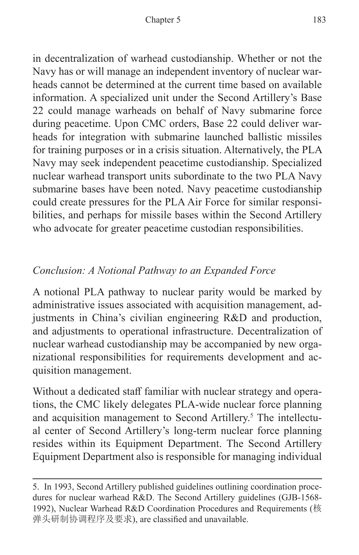in decentralization of warhead custodianship. Whether or not the Navy has or will manage an independent inventory of nuclear warheads cannot be determined at the current time based on available information. A specialized unit under the Second Artillery's Base 22 could manage warheads on behalf of Navy submarine force during peacetime. Upon CMC orders, Base 22 could deliver warheads for integration with submarine launched ballistic missiles for training purposes or in a crisis situation. Alternatively, the PLA Navy may seek independent peacetime custodianship. Specialized nuclear warhead transport units subordinate to the two PLA Navy submarine bases have been noted. Navy peacetime custodianship could create pressures for the PLA Air Force for similar responsibilities, and perhaps for missile bases within the Second Artillery who advocate for greater peacetime custodian responsibilities.

#### *Conclusion: A Notional Pathway to an Expanded Force*

A notional PLA pathway to nuclear parity would be marked by administrative issues associated with acquisition management, adjustments in China's civilian engineering R&D and production, and adjustments to operational infrastructure. Decentralization of nuclear warhead custodianship may be accompanied by new organizational responsibilities for requirements development and acquisition management.

Without a dedicated staff familiar with nuclear strategy and operations, the CMC likely delegates PLA-wide nuclear force planning and acquisition management to Second Artillery.<sup>5</sup> The intellectual center of Second Artillery's long-term nuclear force planning resides within its Equipment Department. The Second Artillery Equipment Department also is responsible for managing individual

<sup>5.</sup> In 1993, Second Artillery published guidelines outlining coordination procedures for nuclear warhead R&D. The Second Artillery guidelines (GJB-1568- 1992), Nuclear Warhead R&D Coordination Procedures and Requirements (核 弹头研制协调程序及要求), are classified and unavailable.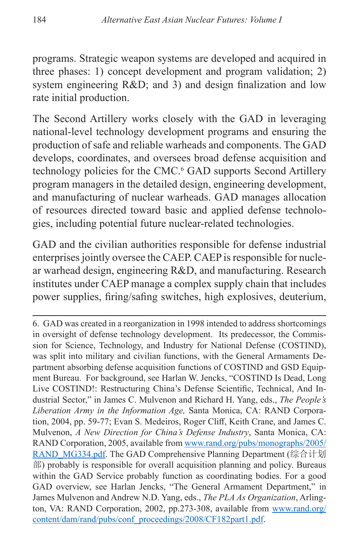programs. Strategic weapon systems are developed and acquired in three phases: 1) concept development and program validation; 2) system engineering R&D; and 3) and design finalization and low rate initial production.

The Second Artillery works closely with the GAD in leveraging national-level technology development programs and ensuring the production of safe and reliable warheads and components. The GAD develops, coordinates, and oversees broad defense acquisition and technology policies for the CMC.<sup>6</sup> GAD supports Second Artillery program managers in the detailed design, engineering development, and manufacturing of nuclear warheads. GAD manages allocation of resources directed toward basic and applied defense technologies, including potential future nuclear-related technologies.

GAD and the civilian authorities responsible for defense industrial enterprises jointly oversee the CAEP. CAEP is responsible for nuclear warhead design, engineering R&D, and manufacturing. Research institutes under CAEP manage a complex supply chain that includes power supplies, firing/safing switches, high explosives, deuterium,

<sup>6.</sup> GAD was created in a reorganization in 1998 intended to address shortcomings in oversight of defense technology development. Its predecessor, the Commission for Science, Technology, and Industry for National Defense (COSTIND), was split into military and civilian functions, with the General Armaments Department absorbing defense acquisition functions of COSTIND and GSD Equipment Bureau. For background, see Harlan W. Jencks, "COSTIND Is Dead, Long Live COSTIND!: Restructuring China's Defense Scientific, Technical, And Industrial Sector," in James C. Mulvenon and Richard H. Yang, eds., *The People's Liberation Army in the Information Age,* Santa Monica, CA: RAND Corporation, 2004, pp. 59-77; Evan S. Medeiros, Roger Cliff, Keith Crane, and James C. Mulvenon, *A New Direction for China's Defense Industry*, Santa Monica, CA: RAND Corporation, 2005, available from [www.rand.org/pubs/monographs/2005/](www.rand.org/pubs/monographs/2005/RAND_MG334.pdf) [RAND\\_MG334.pdf](www.rand.org/pubs/monographs/2005/RAND_MG334.pdf). The GAD Comprehensive Planning Department (综合计划 部) probably is responsible for overall acquisition planning and policy. Bureaus within the GAD Service probably function as coordinating bodies. For a good GAD overview, see Harlan Jencks, "The General Armament Department," in James Mulvenon and Andrew N.D. Yang, eds., *The PLA As Organization*, Arlington, VA: RAND Corporation, 2002, pp.273-308, available from [www.rand.org/](www.rand.org/content/dam/rand/pubs/conf_proceedings/2008/CF182part1.pdf) [content/dam/rand/pubs/conf\\_proceedings/2008/CF182part1.pdf.](www.rand.org/content/dam/rand/pubs/conf_proceedings/2008/CF182part1.pdf)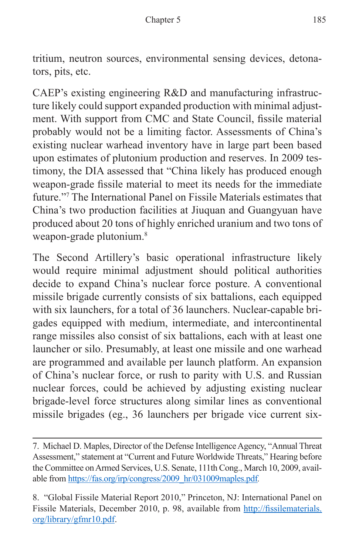tritium, neutron sources, environmental sensing devices, detonators, pits, etc.

CAEP's existing engineering R&D and manufacturing infrastructure likely could support expanded production with minimal adjustment. With support from CMC and State Council, fissile material probably would not be a limiting factor. Assessments of China's existing nuclear warhead inventory have in large part been based upon estimates of plutonium production and reserves. In 2009 testimony, the DIA assessed that "China likely has produced enough weapon-grade fissile material to meet its needs for the immediate future."7 The International Panel on Fissile Materials estimates that China's two production facilities at Jiuquan and Guangyuan have produced about 20 tons of highly enriched uranium and two tons of weapon-grade plutonium.<sup>8</sup>

The Second Artillery's basic operational infrastructure likely would require minimal adjustment should political authorities decide to expand China's nuclear force posture. A conventional missile brigade currently consists of six battalions, each equipped with six launchers, for a total of 36 launchers. Nuclear-capable brigades equipped with medium, intermediate, and intercontinental range missiles also consist of six battalions, each with at least one launcher or silo. Presumably, at least one missile and one warhead are programmed and available per launch platform. An expansion of China's nuclear force, or rush to parity with U.S. and Russian nuclear forces, could be achieved by adjusting existing nuclear brigade-level force structures along similar lines as conventional missile brigades (eg., 36 launchers per brigade vice current six-

<sup>7.</sup> Michael D. Maples, Director of the Defense Intelligence Agency, "Annual Threat Assessment," statement at "Current and Future Worldwide Threats," Hearing before the Committee on Armed Services, U.S. Senate, 111th Cong., March 10, 2009, available from [https://fas.org/irp/congress/2009\\_hr/031009maples.pdf](https://fas.org/irp/congress/2009_hr/031009maples.pdf)*.*

<sup>8. &</sup>quot;Global Fissile Material Report 2010," Princeton, NJ: International Panel on Fissile Materials, December 2010, p. 98, available from [http://fissilematerials.](http://fissilematerials.org/library/gfmr10.pdf) [org/library/gfmr10.pdf.](http://fissilematerials.org/library/gfmr10.pdf)